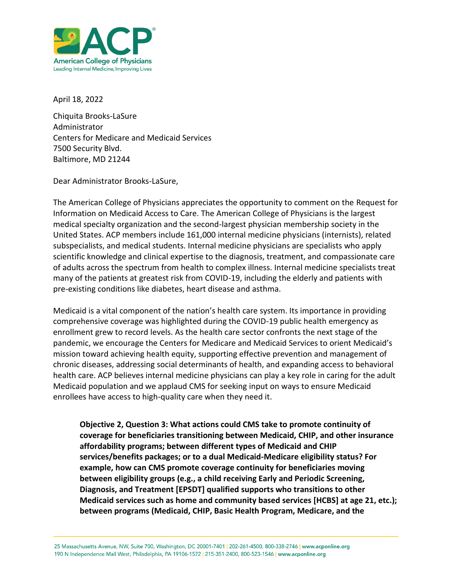

April 18, 2022

Chiquita Brooks-LaSure Administrator Centers for Medicare and Medicaid Services 7500 Security Blvd. Baltimore, MD 21244

Dear Administrator Brooks-LaSure,

The American College of Physicians appreciates the opportunity to comment on the Request for Information on Medicaid Access to Care. The American College of Physicians is the largest medical specialty organization and the second-largest physician membership society in the United States. ACP members include 161,000 internal medicine physicians (internists), related subspecialists, and medical students. Internal medicine physicians are specialists who apply scientific knowledge and clinical expertise to the diagnosis, treatment, and compassionate care of adults across the spectrum from health to complex illness. Internal medicine specialists treat many of the patients at greatest risk from COVID-19, including the elderly and patients with pre-existing conditions like diabetes, heart disease and asthma.

Medicaid is a vital component of the nation's health care system. Its importance in providing comprehensive coverage was highlighted during the COVID-19 public health emergency as enrollment grew to record levels. As the health care sector confronts the next stage of the pandemic, we encourage the Centers for Medicare and Medicaid Services to orient Medicaid's mission toward achieving health equity, supporting effective prevention and management of chronic diseases, addressing social determinants of health, and expanding access to behavioral health care. ACP believes internal medicine physicians can play a key role in caring for the adult Medicaid population and we applaud CMS for seeking input on ways to ensure Medicaid enrollees have access to high-quality care when they need it.

**Objective 2, Question 3: What actions could CMS take to promote continuity of coverage for beneficiaries transitioning between Medicaid, CHIP, and other insurance affordability programs; between different types of Medicaid and CHIP services/benefits packages; or to a dual Medicaid-Medicare eligibility status? For example, how can CMS promote coverage continuity for beneficiaries moving between eligibility groups (e.g., a child receiving Early and Periodic Screening, Diagnosis, and Treatment [EPSDT] qualified supports who transitions to other Medicaid services such as home and community based services [HCBS] at age 21, etc.); between programs (Medicaid, CHIP, Basic Health Program, Medicare, and the**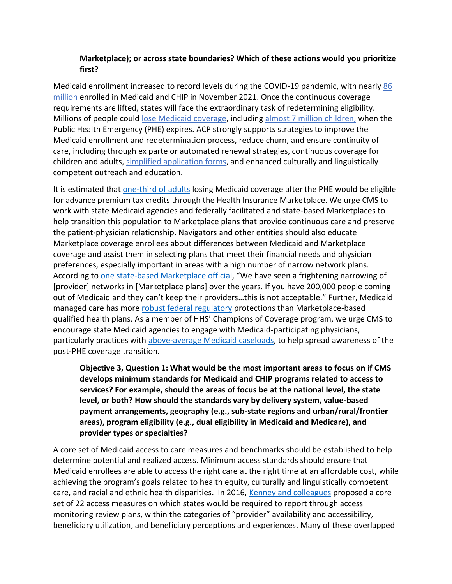## **Marketplace); or across state boundaries? Which of these actions would you prioritize first?**

Medicaid enrollment increased to record levels during the COVID-19 pandemic, with nearly [86](https://www.medicaid.gov/medicaid/national-medicaid-chip-program-information/downloads/october-november-2021-medicaid-chip-enrollment-trend-snapshot.pdf)  [million](https://www.medicaid.gov/medicaid/national-medicaid-chip-program-information/downloads/october-november-2021-medicaid-chip-enrollment-trend-snapshot.pdf) enrolled in Medicaid and CHIP in November 2021. Once the continuous coverage requirements are lifted, states will face the extraordinary task of redetermining eligibility. Millions of people could [lose Medicaid coverage,](https://khn.org/news/article/why-millions-on-medicaid-are-at-risk-of-losing-coverage-in-the-months-ahead/) including [almost 7 million children,](https://ccf.georgetown.edu/2022/02/17/millions-of-children-may-lose-medicaid-what-can-be-done-to-help-prevent-them-from-becoming-uninsured/) when the Public Health Emergency (PHE) expires. ACP strongly supports strategies to improve the Medicaid enrollment and redetermination process, reduce churn, and ensure continuity of care, including through ex parte or automated renewal strategies, continuous coverage for children and adults, [simplified application forms,](https://www.healthaffairs.org/do/10.1377/hpb20200904.405159/full/) and enhanced culturally and linguistically competent outreach and education.

It is estimated that [one-third of adults](https://www.urban.org/sites/default/files/publication/105507/what-will-happen-to-medicaid-enrollees-health-coverage-after-the-public-health-emergency_1_1.pdf) losing Medicaid coverage after the PHE would be eligible for advance premium tax credits through the Health Insurance Marketplace. We urge CMS to work with state Medicaid agencies and federally facilitated and state-based Marketplaces to help transition this population to Marketplace plans that provide continuous care and preserve the patient-physician relationship. Navigators and other entities should also educate Marketplace coverage enrollees about differences between Medicaid and Marketplace coverage and assist them in selecting plans that meet their financial needs and physician preferences, especially important in areas with a high number of narrow network plans. According to [one state-based Marketplace official,](https://www.rwjf.org/en/library/research/2022/03/preparing-for-the-biggest-coverage-event-since-the-affordable-care-act.html) "We have seen a frightening narrowing of [provider] networks in [Marketplace plans] over the years. If you have 200,000 people coming out of Medicaid and they can't keep their providers…this is not acceptable." Further, Medicaid managed care has more [robust federal regulatory](https://www.rwjf.org/en/library/research/2022/03/assessing-federal-and-state-network-adequacy-standards-for-medicaid-and-the-marketplace.html) protections than Marketplace-based qualified health plans. As a member of HHS' Champions of Coverage program, we urge CMS to encourage state Medicaid agencies to engage with Medicaid-participating physicians, particularly practices with [above-average Medicaid caseloads,](https://www.macpac.gov/wp-content/uploads/2021/06/Physician-Acceptance-of-New-Medicaid-Patients-Findings-from-the-National-Electronic-Health-Records-Survey.pdf) to help spread awareness of the post-PHE coverage transition.

**Objective 3, Question 1: What would be the most important areas to focus on if CMS develops minimum standards for Medicaid and CHIP programs related to access to services? For example, should the areas of focus be at the national level, the state level, or both? How should the standards vary by delivery system, value-based payment arrangements, geography (e.g., sub-state regions and urban/rural/frontier areas), program eligibility (e.g., dual eligibility in Medicaid and Medicare), and provider types or specialties?** 

A core set of Medicaid access to care measures and benchmarks should be established to help determine potential and realized access. Minimum access standards should ensure that Medicaid enrollees are able to access the right care at the right time at an affordable cost, while achieving the program's goals related to health equity, culturally and linguistically competent care, and racial and ethnic health disparities. In 2016, [Kenney and colleagues](https://www.urban.org/sites/default/files/publication/88081/2001143-medicaid-access-measurement-and-monitoring-plan_0.pdf) proposed a core set of 22 access measures on which states would be required to report through access monitoring review plans, within the categories of "provider" availability and accessibility, beneficiary utilization, and beneficiary perceptions and experiences. Many of these overlapped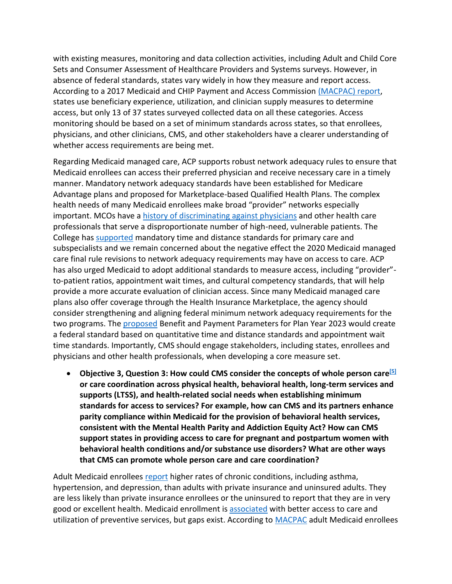with existing measures, monitoring and data collection activities, including Adult and Child Core Sets and Consumer Assessment of Healthcare Providers and Systems surveys. However, in absence of federal standards, states vary widely in how they measure and report access. According to a 2017 Medicaid and CHIP Payment and Access Commission [\(MACPAC\)](https://www.macpac.gov/wp-content/uploads/2017/03/Monitoring-Access-to-Care-in-Medicaid.pdf) report, states use beneficiary experience, utilization, and clinician supply measures to determine access, but only 13 of 37 states surveyed collected data on all these categories. Access monitoring should be based on a set of minimum standards across states, so that enrollees, physicians, and other clinicians, CMS, and other stakeholders have a clearer understanding of whether access requirements are being met.

Regarding Medicaid managed care, ACP supports robust network adequacy rules to ensure that Medicaid enrollees can access their preferred physician and receive necessary care in a timely manner. Mandatory network adequacy standards have been established for Medicare Advantage plans and proposed for Marketplace-based Qualified Health Plans. The complex health needs of many Medicaid enrollees make broad "provider" networks especially important. MCOs have a [history of discriminating against physicians](https://pubmed.ncbi.nlm.nih.gov/9496985/) and other health care professionals that serve a disproportionate number of high-need, vulnerable patients. The College has [supported](https://www.acponline.org/acp_policy/letters/acp_comments_proposed_rule_cms_2390_p_2015.pdf) mandatory time and distance standards for primary care and subspecialists and we remain concerned about the negative effect the 2020 Medicaid managed care final rule revisions to network adequacy requirements may have on access to care. ACP has also urged Medicaid to adopt additional standards to measure access, including "provider" to-patient ratios, appointment wait times, and cultural competency standards, that will help provide a more accurate evaluation of clinician access. Since many Medicaid managed care plans also offer coverage through the Health Insurance Marketplace, the agency should consider strengthening and aligning federal minimum network adequacy requirements for the two programs. The [proposed](https://www.cms.gov/newsroom/fact-sheets/hhs-notice-benefit-and-payment-parameters-2023-proposed-rule-fact-sheet) Benefit and Payment Parameters for Plan Year 2023 would create a federal standard based on quantitative time and distance standards and appointment wait time standards. Importantly, CMS should engage stakeholders, including states, enrollees and physicians and other health professionals, when developing a core measure set.

• **Objective 3, Question 3: How could CMS consider the concepts of whole person care[\[5\]](https://cmsmedicaidaccessrfi.gov1.qualtrics.com/jfe/form/SV_6EYj9eLS9b74Npk#_ftn1) or care coordination across physical health, behavioral health, long-term services and supports (LTSS), and health-related social needs when establishing minimum standards for access to services? For example, how can CMS and its partners enhance parity compliance within Medicaid for the provision of behavioral health services, consistent with the Mental Health Parity and Addiction Equity Act? How can CMS support states in providing access to care for pregnant and postpartum women with behavioral health conditions and/or substance use disorders? What are other ways that CMS can promote whole person care and care coordination?**

Adult Medicaid enrollees [report](https://www.macpac.gov/wp-content/uploads/2012/06/Access-in-Brief-Adults-Experiences-in-Accessing-Medical-Care.pdf) higher rates of chronic conditions, including asthma, hypertension, and depression, than adults with private insurance and uninsured adults. They are less likely than private insurance enrollees or the uninsured to report that they are in very good or excellent health. Medicaid enrollment is [associated](https://www.ncbi.nlm.nih.gov/pmc/articles/PMC7839643/) with better access to care and utilization of preventive services, but gaps exist. According to [MACPAC](https://www.macpac.gov/wp-content/uploads/2012/06/Access-in-Brief-Adults-Experiences-in-Accessing-Medical-Care.pdf) adult Medicaid enrollees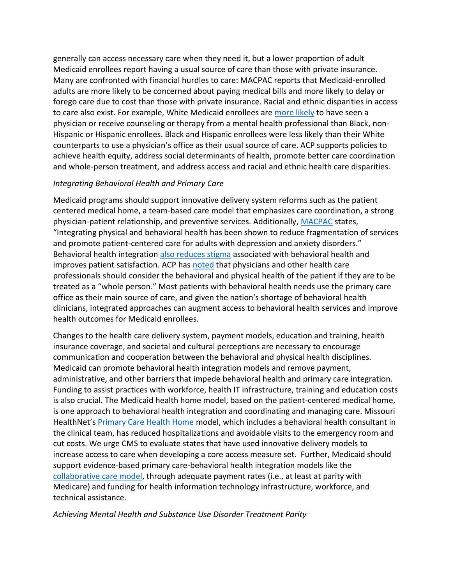generally can access necessary care when they need it, but a lower proportion of adult Medicaid enrollees report having a usual source of care than those with private insurance. Many are confronted with financial hurdles to care: MACPAC reports that Medicaid-enrolled adults are more likely to be concerned about paying medical bills and more likely to delay or forego care due to cost than those with private insurance. Racial and ethnic disparities in access to care also exist. For example, White Medicaid enrollees are [more likely](https://www.macpac.gov/wp-content/uploads/2022/02/MACPAC-Access-in-Brief_Race-and-Ethnicity-Feb-2022.pdf) to have seen a physician or receive counseling or therapy from a mental health professional than Black, non-Hispanic or Hispanic enrollees. Black and Hispanic enrollees were less likely than their White counterparts to use a physician's office as their usual source of care. ACP supports policies to achieve health equity, address social determinants of health, promote better care coordination and whole-person treatment, and address access and racial and ethnic health care disparities.

## *Integrating Behavioral Health and Primary Care*

Medicaid programs should support innovative delivery system reforms such as the patient centered medical home, a team-based care model that emphasizes care coordination, a strong physician-patient relationship, and preventive services. Additionally, [MACPAC](https://www.macpac.gov/wp-content/uploads/2016/03/Integration-of-Behavioral-and-Physical-Health-Services-in-Medicaid.pdf) states, "Integrating physical and behavioral health has been shown to reduce fragmentation of services and promote patient-centered care for adults with depression and anxiety disorders." Behavioral health integration [also reduces stigma](https://www.ama-assn.org/system/files/bhi-compendium.pdf) associated with behavioral health and improves patient satisfaction. ACP has [noted](https://www.acpjournals.org/doi/10.7326/M15-0510) that physicians and other health care professionals should consider the behavioral and physical health of the patient if they are to be treated as a "whole person." Most patients with behavioral health needs use the primary care office as their main source of care, and given the nation's shortage of behavioral health clinicians, integrated approaches can augment access to behavioral health services and improve health outcomes for Medicaid enrollees.

Changes to the health care delivery system, payment models, education and training, health insurance coverage, and societal and cultural perceptions are necessary to encourage communication and cooperation between the behavioral and physical health disciplines. Medicaid can promote behavioral health integration models and remove payment, administrative, and other barriers that impede behavioral health and primary care integration. Funding to assist practices with workforce, health IT infrastructure, training and education costs is also crucial. The Medicaid health home model, based on the patient-centered medical home, is one approach to behavioral health integration and coordinating and managing care. Missouri HealthNet's [Primary Care Health Home](https://dss.mo.gov/mhd/cs/health-homes/pdf/PCHHQuickFacts.pdf) model, which includes a behavioral health consultant in the clinical team, has reduced hospitalizations and avoidable visits to the emergency room and cut costs. We urge CMS to evaluate states that have used innovative delivery models to increase access to care when developing a core access measure set. Further, Medicaid should support evidence-based primary care-behavioral health integration models like the [collaborative care model,](https://www.chcf.org/wp-content/uploads/2020/09/CrackingCodesMedicaidReimbursingPsychiatricCollaborativeCare.pdf) through adequate payment rates (i.e., at least at parity with Medicare) and funding for health information technology infrastructure, workforce, and technical assistance.

*Achieving Mental Health and Substance Use Disorder Treatment Parity*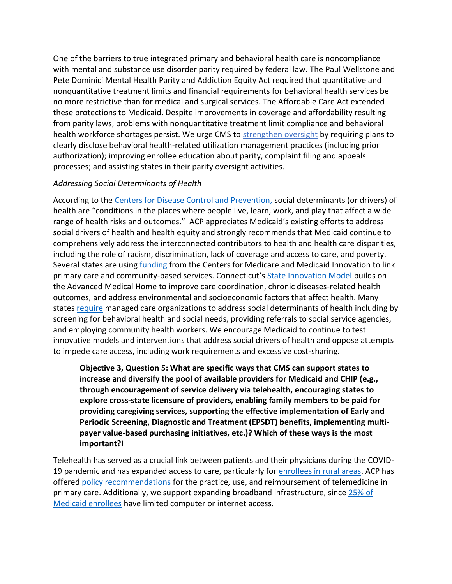One of the barriers to true integrated primary and behavioral health care is noncompliance with mental and substance use disorder parity required by federal law. The Paul Wellstone and Pete Dominici Mental Health Parity and Addiction Equity Act required that quantitative and nonquantitative treatment limits and financial requirements for behavioral health services be no more restrictive than for medical and surgical services. The Affordable Care Act extended these protections to Medicaid. Despite improvements in coverage and affordability resulting from parity laws, problems with nonquantitative treatment limit compliance and behavioral health workforce shortages persist. We urge CMS to [strengthen oversight](https://www.annualreviews.org/doi/10.1146/annurev-publhealth-040617-013603?url_ver=Z39.88-2003&rfr_id=ori%3Arid%3Acrossref.org&rfr_dat=cr_pub++0pubmed) by requiring plans to clearly disclose behavioral health-related utilization management practices (including prior authorization); improving enrollee education about parity, complaint filing and appeals processes; and assisting states in their parity oversight activities.

## *Addressing Social Determinants of Health*

According to the [Centers for Disease Control and Prevention,](https://www.cdc.gov/socialdeterminants/about.html) social determinants (or drivers) of health are "conditions in the places where people live, learn, work, and play that affect a wide range of health risks and outcomes." ACP appreciates Medicaid's existing efforts to address social drivers of health and health equity and strongly recommends that Medicaid continue to comprehensively address the interconnected contributors to health and health care disparities, including the role of racism, discrimination, lack of coverage and access to care, and poverty. Several states are using [funding](https://innovation.cms.gov/data-and-reports/2021/sim-rd2-test-final) from the Centers for Medicare and Medicaid Innovation to link primary care and community-based services. Connecticut's State [Innovation Model](http://www.healthreform.ct.gov/ohri/lib/ohri/sim/test_grant_documents/sim_operational_plan_ay3_narrative_1-22-18_revisedfinal_submitted.pdf) builds on the Advanced Medical Home to improve care coordination, chronic diseases-related health outcomes, and address environmental and socioeconomic factors that affect health. Many states [require](https://www.kff.org/report-section/states-respond-to-covid-19-challenges-but-also-take-advantage-of-new-opportunities-to-address-long-standing-issues-social-determinants-of-health/) managed care organizations to address social determinants of health including by screening for behavioral health and social needs, providing referrals to social service agencies, and employing community health workers. We encourage Medicaid to continue to test innovative models and interventions that address social drivers of health and oppose attempts to impede care access, including work requirements and excessive cost-sharing.

**Objective 3, Question 5: What are specific ways that CMS can support states to increase and diversify the pool of available providers for Medicaid and CHIP (e.g., through encouragement of service delivery via telehealth, encouraging states to explore cross-state licensure of providers, enabling family members to be paid for providing caregiving services, supporting the effective implementation of Early and Periodic Screening, Diagnostic and Treatment (EPSDT) benefits, implementing multipayer value-based purchasing initiatives, etc.)? Which of these ways is the most important?I**

Telehealth has served as a crucial link between patients and their physicians during the COVID19 pandemic and has expanded access to care, particularly for [enrollees in rural areas.](https://aspe.hhs.gov/sites/default/files/documents/4e1853c0b4885112b2994680a58af9ed/telehealth-hps-ib.pdf) ACP has offered [policy recommendations](https://www.acpjournals.org/doi/10.7326/m15-0498) for the practice, use, and reimbursement of telemedicine in primary care. Additionally, we support expanding broadband infrastructure, since [25% of](https://www.kff.org/medicaid/issue-brief/housing-affordability-adequacy-and-access-to-the-internet-in-homes-of-medicaid-enrollees/)  [Medicaid enrollees](https://www.kff.org/medicaid/issue-brief/housing-affordability-adequacy-and-access-to-the-internet-in-homes-of-medicaid-enrollees/) have limited computer or internet access.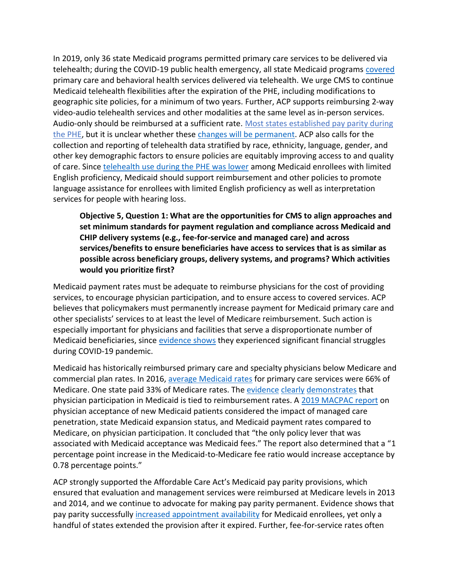In 2019, only 36 state Medicaid programs permitted primary care services to be delivered via telehealth; during the COVID-19 public health emergency, all state Medicaid programs [covered](https://aspe.hhs.gov/sites/default/files/documents/eb9e147935a2663441a9488e36eea6cb/medicaid-telehealth-brief.pdf) primary care and behavioral health services delivered via telehealth. We urge CMS to continue Medicaid telehealth flexibilities after the expiration of the PHE, including modifications to geographic site policies, for a minimum of two years. Further, ACP supports reimbursing 2-way video-audio telehealth services and other modalities at the same level as in-person services. Audio-only should be reimbursed at a sufficient rate. [Most states established pay parity during](https://aspe.hhs.gov/sites/default/files/documents/eb9e147935a2663441a9488e36eea6cb/medicaid-telehealth-brief.pdf)  [the PHE,](https://aspe.hhs.gov/sites/default/files/documents/eb9e147935a2663441a9488e36eea6cb/medicaid-telehealth-brief.pdf) but it is unclear whether these [changes will be permanent.](https://www.gao.gov/assets/gao-22-104700.pdf) ACP also calls for the collection and reporting of telehealth data stratified by race, ethnicity, language, gender, and other key demographic factors to ensure policies are equitably improving access to and quality of care. Since [telehealth use during the PHE was lower](https://aspe.hhs.gov/sites/default/files/documents/eb9e147935a2663441a9488e36eea6cb/medicaid-telehealth-brief.pdf) among Medicaid enrollees with limited English proficiency, Medicaid should support reimbursement and other policies to promote language assistance for enrollees with limited English proficiency as well as interpretation services for people with hearing loss.

**Objective 5, Question 1: What are the opportunities for CMS to align approaches and set minimum standards for payment regulation and compliance across Medicaid and CHIP delivery systems (e.g., fee-for-service and managed care) and across services/benefits to ensure beneficiaries have access to services that is as similar as possible across beneficiary groups, delivery systems, and programs? Which activities would you prioritize first?**

Medicaid payment rates must be adequate to reimburse physicians for the cost of providing services, to encourage physician participation, and to ensure access to covered services. ACP believes that policymakers must permanently increase payment for Medicaid primary care and other specialists' services to at least the level of Medicare reimbursement. Such action is especially important for physicians and facilities that serve a disproportionate number of Medicaid beneficiaries, since [evidence shows](https://www.kff.org/coronavirus-covid-19/issue-brief/funding-for-health-care-providers-during-the-pandemic-an-update/) they experienced significant financial struggles during COVID-19 pandemic.

Medicaid has historically reimbursed primary care and specialty physicians below Medicare and commercial plan rates. In 2016, [average Medicaid rates](https://www.kff.org/medicaid/state-indicator/medicaid-to-medicare-fee-index/?currentTimeframe=0&sortModel=%7B%22colId%22:%22Location%22,%22sort%22:%22asc%22%7D) for primary care services were 66% of Medicare. One state paid 33% of Medicare rates. The [evidence](https://bmchealthservres.biomedcentral.com/articles/10.1186/s12913-018-3516-9) [clearly](https://www.ipr.northwestern.edu/documents/working-papers/2019/wp-19-23.pdf) [demonstrates](https://www.researchgate.net/publication/40031954_Changes_in_Medicaid_Physician_Fees_and_Patterns_of_Ambulatory_Care) that physician participation in Medicaid is tied to reimbursement rates. A [2019 MACPAC report](https://www.macpac.gov/wp-content/uploads/2019/01/Physician-Acceptance-of-New-Medicaid-Patients.pdf) on physician acceptance of new Medicaid patients considered the impact of managed care penetration, state Medicaid expansion status, and Medicaid payment rates compared to Medicare, on physician participation. It concluded that "the only policy lever that was associated with Medicaid acceptance was Medicaid fees." The report also determined that a "1 percentage point increase in the Medicaid-to-Medicare fee ratio would increase acceptance by 0.78 percentage points."

ACP strongly supported the Affordable Care Act's Medicaid pay parity provisions, which ensured that evaluation and management services were reimbursed at Medicare levels in 2013 and 2014, and we continue to advocate for making pay parity permanent. Evidence shows that pay parity successfully [increased appointment availability](https://www.nejm.org/doi/full/10.1056/nejmsa1413299) for Medicaid enrollees, yet only a handful of states extended the provision after it expired. Further, fee-for-service rates often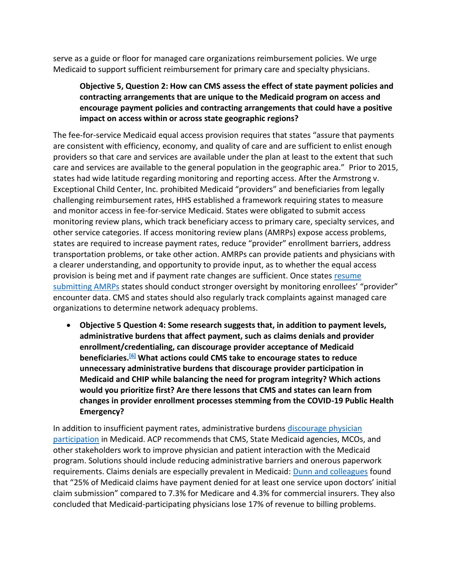serve as a guide or floor for managed care organizations reimbursement policies. We urge Medicaid to support sufficient reimbursement for primary care and specialty physicians.

## **Objective 5, Question 2: How can CMS assess the effect of state payment policies and contracting arrangements that are unique to the Medicaid program on access and encourage payment policies and contracting arrangements that could have a positive impact on access within or across state geographic regions?**

The fee-for-service Medicaid equal access provision requires that states "assure that payments are consistent with efficiency, economy, and quality of care and are sufficient to enlist enough providers so that care and services are available under the plan at least to the extent that such care and services are available to the general population in the geographic area." Prior to 2015, states had wide latitude regarding monitoring and reporting access. After the Armstrong v. Exceptional Child Center, Inc. prohibited Medicaid "providers" and beneficiaries from legally challenging reimbursement rates, HHS established a framework requiring states to measure and monitor access in fee-for-service Medicaid. States were obligated to submit access monitoring review plans, which track beneficiary access to primary care, specialty services, and other service categories. If access monitoring review plans (AMRPs) expose access problems, states are required to increase payment rates, reduce "provider" enrollment barriers, address transportation problems, or take other action. AMRPs can provide patients and physicians with a clearer understanding, and opportunity to provide input, as to whether the equal access provision is being met and if payment rate changes are sufficient. Once state[s resume](https://www.medicaid.gov/federal-policy-guidance/downloads/cib03312022.pdf)  [submitting AMRPs](https://www.medicaid.gov/federal-policy-guidance/downloads/cib03312022.pdf) states should conduct stronger oversight by monitoring enrollees' "provider" encounter data. CMS and states should also regularly track complaints against managed care organizations to determine network adequacy problems.

• **Objective 5 Question 4: Some research suggests that, in addition to payment levels, administrative burdens that affect payment, such as claims denials and provider enrollment/credentialing, can discourage provider acceptance of Medicaid beneficiaries.[\[6\]](https://cmsmedicaidaccessrfi.gov1.qualtrics.com/jfe/form/SV_6EYj9eLS9b74Npk#_ftn1) What actions could CMS take to encourage states to reduce unnecessary administrative burdens that discourage provider participation in Medicaid and CHIP while balancing the need for program integrity? Which actions would you prioritize first? Are there lessons that CMS and states can learn from changes in provider enrollment processes stemming from the COVID-19 Public Health Emergency?**

In addition to insufficient payment rates, administrative burdens discourage physician [participation](https://www.ncbi.nlm.nih.gov/pmc/articles/PMC4010445/) in Medicaid. ACP recommends that CMS, State Medicaid agencies, MCOs, and other stakeholders work to improve physician and patient interaction with the Medicaid program. Solutions should include reducing administrative barriers and onerous paperwork requirements. Claims denials are especially prevalent in Medicaid: [Dunn and colleagues](https://bfi.uchicago.edu/wp-content/uploads/2021/07/BFI_WP_2021-80.pdf) found that "25% of Medicaid claims have payment denied for at least one service upon doctors' initial claim submission" compared to 7.3% for Medicare and 4.3% for commercial insurers. They also concluded that Medicaid-participating physicians lose 17% of revenue to billing problems.